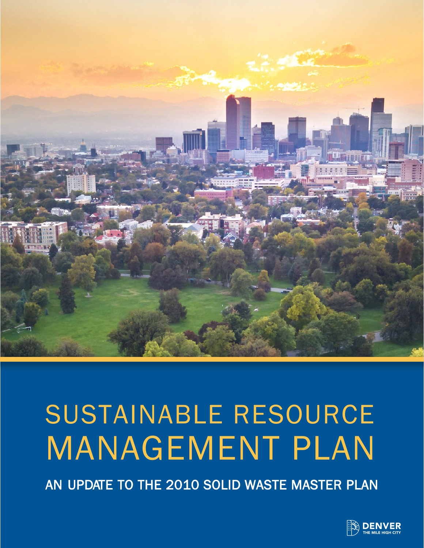

# SUSTAINABLE RESOURCE MANAGEMENT PLAN

AN UPDATE TO THE 2010 SOLID WASTE MASTER PLAN

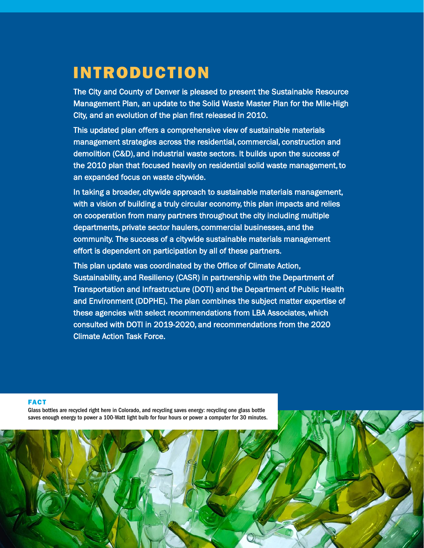# INTRODUCTION

The City and County of Denver is pleased to present the Sustainable Resource Management Plan, an update to the Solid Waste Master Plan for the Mile-High City, and an evolution of the plan first released in 2010.

This updated plan offers a comprehensive view of sustainable materials management strategies across the residential, commercial, construction and demolition (C&D), and industrial waste sectors. It builds upon the success of the 2010 plan that focused heavily on residential solid waste management, to an expanded focus on waste citywide.

In taking a broader, citywide approach to sustainable materials management, with a vision of building a truly circular economy, this plan impacts and relies on cooperation from many partners throughout the city including multiple departments, private sector haulers, commercial businesses, and the community. The success of a citywide sustainable materials management effort is dependent on participation by all of these partners.

This plan update was coordinated by the Office of Climate Action, Sustainability, and Resiliency (CASR) in partnership with the Department of Transportation and Infrastructure (DOTI) and the Department of Public Health and Environment (DDPHE). The plan combines the subject matter expertise of these agencies with select recommendations from LBA Associates, which consulted with DOTI in 2019-2020, and recommendations from the 2020 Climate Action Task Force.

MASTER PLAN FOR MANAGING SOLID WASTE IN THE MILE-HIGH CITY: 2022 UPDATE 1

#### FACT

Glass bottles are recycled right here in Colorado, and recycling saves energy: recycling one glass bottle saves enough energy to power a 100-Watt light bulb for four hours or power a computer for 30 minutes.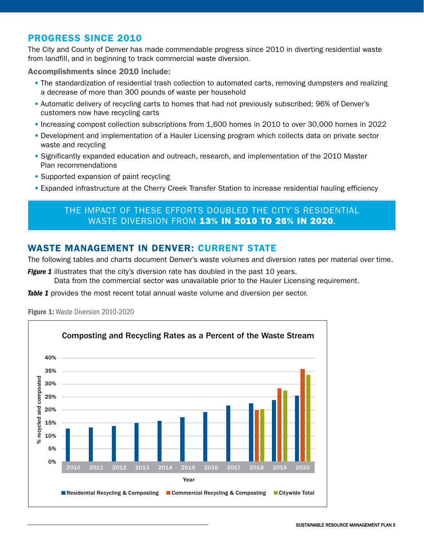## PROGRESS SINCE 2010

The City and County of Denver has made commendable progress since 2010 in diverting residential waste from landfill, and in beginning to track commercial waste diversion.

Accomplishments since 2010 include:

- The standardization of residential trash collection to automated carts, removing dumpsters and realizing a decrease of more than 300 pounds of waste per household
- Automatic delivery of recycling carts to homes that had not previously subscribed; 96% of Denver's customers now have recycling carts
- Increasing compost collection subscriptions from 1,600 homes in 2010 to over 30,000 homes in 2022
- Development and implementation of a Hauler Licensing program which collects data on private sector waste and recycling
- Significantly expanded education and outreach, research, and implementation of the 2010 Master Plan recommendations
- Supported expansion of paint recycling
- Expanded infrastructure at the Cherry Creek Transfer Station to increase residential hauling efficiency

# THE IMPACT OF THESE EFFORTS DOUBLED THE CITY'S RESIDENTIAL WASTE DIVERSION FROM 13% IN 2010 TO 26% IN 2020.

# WASTE MANAGEMENT IN DENVER: CURRENT STATE

The following tables and charts document Denver's waste volumes and diversion rates per material over time.

*Figure 1* illustrates that the city's diversion rate has doubled in the past 10 years.

Data from the commercial sector was unavailable prior to the Hauler Licensing requirement.

**Table 1** provides the most recent total annual waste volume and diversion per sector.



Figure 1: Waste Diversion 2010-2020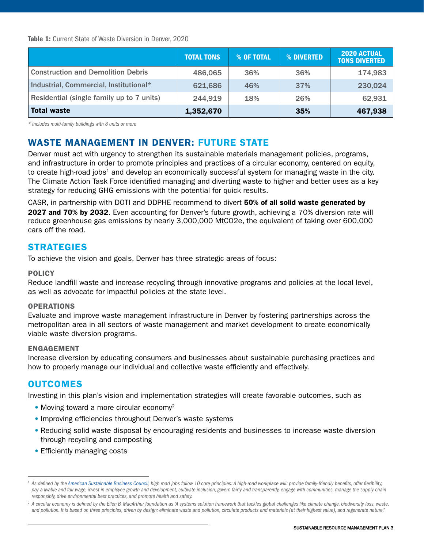Table 1: Current State of Waste Diversion in Denver, 2020

|                                           | <b>TOTAL TONS</b> | % OF TOTAL | % DIVERTED | <b>2020 ACTUAL</b><br><b>TONS DIVERTED</b> |
|-------------------------------------------|-------------------|------------|------------|--------------------------------------------|
| <b>Construction and Demolition Debris</b> | 486,065           | 36%        | 36%        | 174,983                                    |
| Industrial, Commercial, Institutional*    | 621,686           | 46%        | 37%        | 230,024                                    |
| Residential (single family up to 7 units) | 244,919           | 18%        | 26%        | 62,931                                     |
| <b>Total waste</b>                        | 1,352,670         |            | 35%        | 467,938                                    |

*\* Includes multi-family buildings with 8 units or more*

# WASTE MANAGEMENT IN DENVER: FUTURE STATE

Denver must act with urgency to strengthen its sustainable materials management policies, programs, and infrastructure in order to promote principles and practices of a circular economy, centered on equity, to create high-road jobs<sup>1</sup> and develop an economically successful system for managing waste in the city. The Climate Action Task Force identified managing and diverting waste to higher and better uses as a key strategy for reducing GHG emissions with the potential for quick results.

CASR, in partnership with DOTI and DDPHE recommend to divert 50% of all solid waste generated by 2027 and 70% by 2032. Even accounting for Denver's future growth, achieving a 70% diversion rate will reduce greenhouse gas emissions by nearly 3,000,000 MtCO2e, the equivalent of taking over 600,000 cars off the road.

## **STRATEGIES**

To achieve the vision and goals, Denver has three strategic areas of focus:

#### **POLICY**

Reduce landfill waste and increase recycling through innovative programs and policies at the local level, as well as advocate for impactful policies at the state level.

#### OPERATIONS

Evaluate and improve waste management infrastructure in Denver by fostering partnerships across the metropolitan area in all sectors of waste management and market development to create economically viable waste diversion programs.

#### ENGAGEMENT

Increase diversion by educating consumers and businesses about sustainable purchasing practices and how to properly manage our individual and collective waste efficiently and effectively.

## OUTCOMES

Investing in this plan's vision and implementation strategies will create favorable outcomes, such as

- Moving toward a more circular economy<sup>2</sup>
- Improving efficiencies throughout Denver's waste systems
- Reducing solid waste disposal by encouraging residents and businesses to increase waste diversion through recycling and composting
- Efficiently managing costs

<sup>&</sup>lt;sup>1</sup> As defined by the <u>American Sustainable Business Council</u>, high road jobs follow 10 core principles: A high-road workplace will: provide family-friendly benefits, offer flexibility, pay a livable and fair wage, invest in employee growth and development, cultivate inclusion, govern fairly and transparently, engage with communities, manage the supply chain *responsibly, drive environmental best practices, and promote health and safety.*

<sup>&</sup>lt;sup>2</sup> A circular economy is defined by the Ellen B. MacArthur foundation as "A systems solution framework that tackles global challenges like climate change, biodiversity loss, waste, *and pollution. It is based on three principles, driven by design: eliminate waste and pollution, circulate products and materials (at their highest value), and regenerate nature."*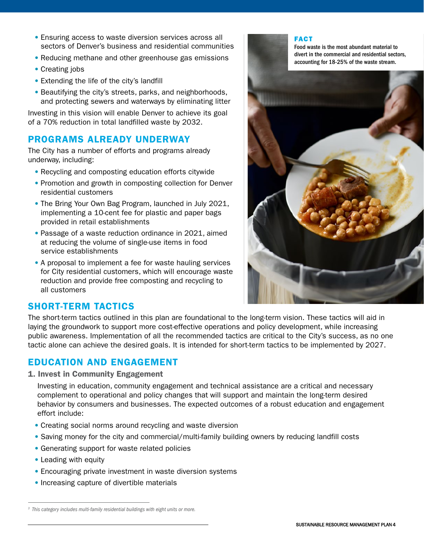- Ensuring access to waste diversion services across all sectors of Denver's business and residential communities
- Reducing methane and other greenhouse gas emissions
- Creating jobs
- Extending the life of the city's landfill
- Beautifying the city's streets, parks, and neighborhoods, and protecting sewers and waterways by eliminating litter

Investing in this vision will enable Denver to achieve its goal of a 70% reduction in total landfilled waste by 2032.

# PROGRAMS ALREADY UNDERWAY

The City has a number of efforts and programs already underway, including:

- Recycling and composting education efforts citywide
- Promotion and growth in composting collection for Denver residential customers
- The Bring Your Own Bag Program, launched in July 2021, implementing a 10-cent fee for plastic and paper bags provided in retail establishments
- Passage of a waste reduction ordinance in 2021, aimed at reducing the volume of single-use items in food service establishments
- A proposal to implement a fee for waste hauling services for City residential customers, which will encourage waste reduction and provide free composting and recycling to all customers

#### FACT

Food waste is the most abundant material to divert in the commercial and residential sectors, accounting for 18-25% of the waste stream.



# SHORT-TERM TACTICS

The short-term tactics outlined in this plan are foundational to the long-term vision. These tactics will aid in laying the groundwork to support more cost-effective operations and policy development, while increasing public awareness. Implementation of all the recommended tactics are critical to the City's success, as no one tactic alone can achieve the desired goals. It is intended for short-term tactics to be implemented by 2027.

# EDUCATION AND ENGAGEMENT

1. Invest in Community Engagement

Investing in education, community engagement and technical assistance are a critical and necessary complement to operational and policy changes that will support and maintain the long-term desired behavior by consumers and businesses. The expected outcomes of a robust education and engagement effort include:

- Creating social norms around recycling and waste diversion
- Saving money for the city and commercial/multi-family building owners by reducing landfill costs
- Generating support for waste related policies
- Leading with equity
- Encouraging private investment in waste diversion systems
- Increasing capture of divertible materials

*<sup>3</sup> This category includes multi-family residential buildings with eight units or more.*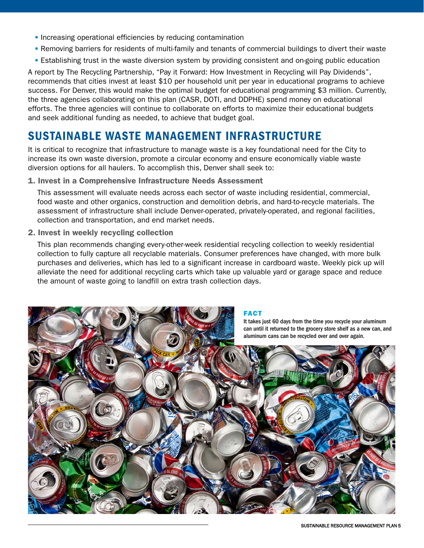- Increasing operational efficiencies by reducing contamination
- Removing barriers for residents of multi-family and tenants of commercial buildings to divert their waste
- Establishing trust in the waste diversion system by providing consistent and on-going public education

A report by The Recycling Partnership, "Pay it Forward: How Investment in Recycling will Pay Dividends", recommends that cities invest at least \$10 per household unit per year in educational programs to achieve success. For Denver, this would make the optimal budget for educational programming \$3 million. Currently, the three agencies collaborating on this plan (CASR, DOTI, and DDPHE) spend money on educational efforts. The three agencies will continue to collaborate on efforts to maximize their educational budgets and seek additional funding as needed, to achieve that budget goal.

# SUSTAINABLE WASTE MANAGEMENT INFRASTRUCTURE

It is critical to recognize that infrastructure to manage waste is a key foundational need for the City to increase its own waste diversion, promote a circular economy and ensure economically viable waste diversion options for all haulers. To accomplish this, Denver shall seek to:

#### 1. Invest in a Comprehensive Infrastructure Needs Assessment

This assessment will evaluate needs across each sector of waste including residential, commercial, food waste and other organics, construction and demolition debris, and hard-to-recycle materials. The assessment of infrastructure shall include Denver-operated, privately-operated, and regional facilities, collection and transportation, and end market needs.

2. Invest in weekly recycling collection

This plan recommends changing every-other-week residential recycling collection to weekly residential collection to fully capture all recyclable materials. Consumer preferences have changed, with more bulk purchases and deliveries, which has led to a significant increase in cardboard waste. Weekly pick up will alleviate the need for additional recycling carts which take up valuable yard or garage space and reduce the amount of waste going to landfill on extra trash collection days.

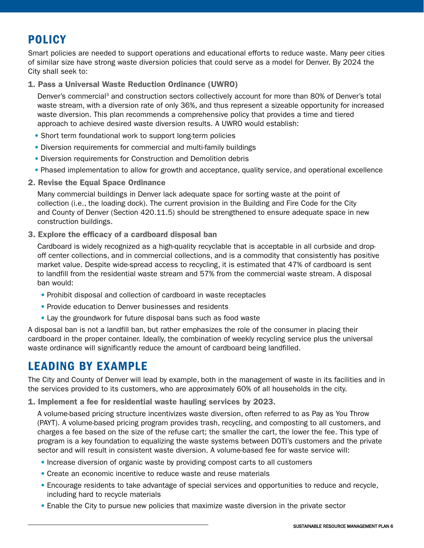# POLICY

Smart policies are needed to support operations and educational efforts to reduce waste. Many peer cities of similar size have strong waste diversion policies that could serve as a model for Denver. By 2024 the City shall seek to:

## 1. Pass a Universal Waste Reduction Ordinance (UWRO)

Denver's commercial<sup>3</sup> and construction sectors collectively account for more than 80% of Denver's total waste stream, with a diversion rate of only 36%, and thus represent a sizeable opportunity for increased waste diversion. This plan recommends a comprehensive policy that provides a time and tiered approach to achieve desired waste diversion results. A UWRO would establish:

- Short term foundational work to support long-term policies
- Diversion requirements for commercial and multi-family buildings
- Diversion requirements for Construction and Demolition debris
- Phased implementation to allow for growth and acceptance, quality service, and operational excellence
- 2. Revise the Equal Space Ordinance

Many commercial buildings in Denver lack adequate space for sorting waste at the point of collection (i.e., the loading dock). The current provision in the Building and Fire Code for the City and County of Denver (Section 420.11.5) should be strengthened to ensure adequate space in new construction buildings.

3. Explore the efficacy of a cardboard disposal ban

Cardboard is widely recognized as a high-quality recyclable that is acceptable in all curbside and dropoff center collections, and in commercial collections, and is a commodity that consistently has positive market value. Despite wide-spread access to recycling, it is estimated that 47% of cardboard is sent to landfill from the residential waste stream and 57% from the commercial waste stream. A disposal ban would:

- Prohibit disposal and collection of cardboard in waste receptacles
- Provide education to Denver businesses and residents
- Lay the groundwork for future disposal bans such as food waste

A disposal ban is not a landfill ban, but rather emphasizes the role of the consumer in placing their cardboard in the proper container. Ideally, the combination of weekly recycling service plus the universal waste ordinance will significantly reduce the amount of cardboard being landfilled.

# LEADING BY EXAMPLE

The City and County of Denver will lead by example, both in the management of waste in its facilities and in the services provided to its customers, who are approximately 60% of all households in the city.

1. Implement a fee for residential waste hauling services by 2023.

A volume-based pricing structure incentivizes waste diversion, often referred to as Pay as You Throw (PAYT). A volume-based pricing program provides trash, recycling, and composting to all customers, and charges a fee based on the size of the refuse cart; the smaller the cart, the lower the fee. This type of program is a key foundation to equalizing the waste systems between DOTI's customers and the private sector and will result in consistent waste diversion. A volume-based fee for waste service will:

- Increase diversion of organic waste by providing compost carts to all customers
- Create an economic incentive to reduce waste and reuse materials
- Encourage residents to take advantage of special services and opportunities to reduce and recycle, including hard to recycle materials
- Enable the City to pursue new policies that maximize waste diversion in the private sector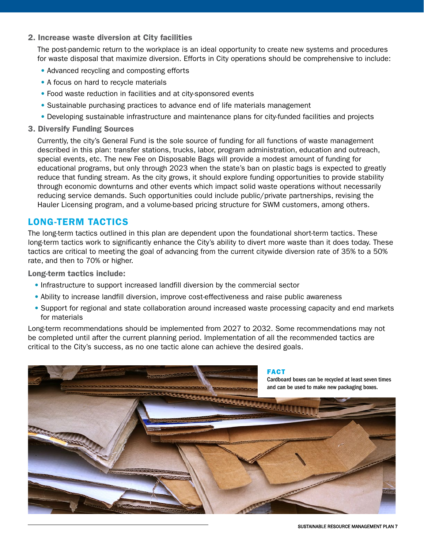#### 2. Increase waste diversion at City facilities

The post-pandemic return to the workplace is an ideal opportunity to create new systems and procedures for waste disposal that maximize diversion. Efforts in City operations should be comprehensive to include:

- Advanced recycling and composting efforts
- A focus on hard to recycle materials
- Food waste reduction in facilities and at city-sponsored events
- Sustainable purchasing practices to advance end of life materials management
- Developing sustainable infrastructure and maintenance plans for city-funded facilities and projects
- 3. Diversify Funding Sources

Currently, the city's General Fund is the sole source of funding for all functions of waste management described in this plan: transfer stations, trucks, labor, program administration, education and outreach, special events, etc. The new Fee on Disposable Bags will provide a modest amount of funding for educational programs, but only through 2023 when the state's ban on plastic bags is expected to greatly reduce that funding stream. As the city grows, it should explore funding opportunities to provide stability through economic downturns and other events which impact solid waste operations without necessarily reducing service demands. Such opportunities could include public/private partnerships, revising the Hauler Licensing program, and a volume-based pricing structure for SWM customers, among others.

## LONG-TERM TACTICS

The long-term tactics outlined in this plan are dependent upon the foundational short-term tactics. These long-term tactics work to significantly enhance the City's ability to divert more waste than it does today. These tactics are critical to meeting the goal of advancing from the current citywide diversion rate of 35% to a 50% rate, and then to 70% or higher.

Long-term tactics include:

- Infrastructure to support increased landfill diversion by the commercial sector
- Ability to increase landfill diversion, improve cost-effectiveness and raise public awareness
- Support for regional and state collaboration around increased waste processing capacity and end markets for materials

Long-term recommendations should be implemented from 2027 to 2032. Some recommendations may not be completed until after the current planning period. Implementation of all the recommended tactics are critical to the City's success, as no one tactic alone can achieve the desired goals.

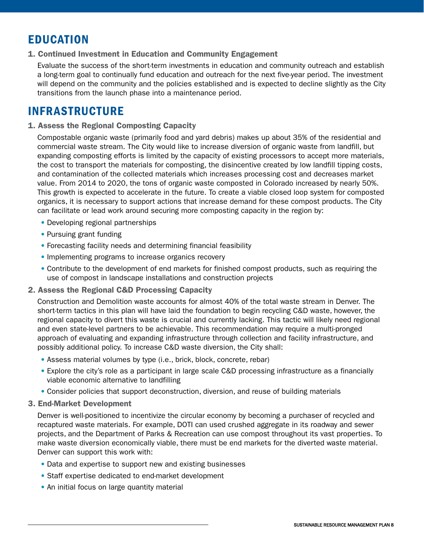# EDUCATION

## 1. Continued Investment in Education and Community Engagement

Evaluate the success of the short-term investments in education and community outreach and establish a long-term goal to continually fund education and outreach for the next five-year period. The investment will depend on the community and the policies established and is expected to decline slightly as the City transitions from the launch phase into a maintenance period.

# INFRASTRUCTURE

#### 1. Assess the Regional Composting Capacity

Compostable organic waste (primarily food and yard debris) makes up about 35% of the residential and commercial waste stream. The City would like to increase diversion of organic waste from landfill, but expanding composting efforts is limited by the capacity of existing processors to accept more materials, the cost to transport the materials for composting, the disincentive created by low landfill tipping costs, and contamination of the collected materials which increases processing cost and decreases market value. From 2014 to 2020, the tons of organic waste composted in Colorado increased by nearly 50%. This growth is expected to accelerate in the future. To create a viable closed loop system for composted organics, it is necessary to support actions that increase demand for these compost products. The City can facilitate or lead work around securing more composting capacity in the region by:

- Developing regional partnerships
- Pursuing grant funding
- Forecasting facility needs and determining financial feasibility
- Implementing programs to increase organics recovery
- Contribute to the development of end markets for finished compost products, such as requiring the use of compost in landscape installations and construction projects
- 2. Assess the Regional C&D Processing Capacity

Construction and Demolition waste accounts for almost 40% of the total waste stream in Denver. The short-term tactics in this plan will have laid the foundation to begin recycling C&D waste, however, the regional capacity to divert this waste is crucial and currently lacking. This tactic will likely need regional and even state-level partners to be achievable. This recommendation may require a multi-pronged approach of evaluating and expanding infrastructure through collection and facility infrastructure, and possibly additional policy. To increase C&D waste diversion, the City shall:

- Assess material volumes by type (i.e., brick, block, concrete, rebar)
- Explore the city's role as a participant in large scale C&D processing infrastructure as a financially viable economic alternative to landfilling
- Consider policies that support deconstruction, diversion, and reuse of building materials

#### 3. End-Market Development

Denver is well-positioned to incentivize the circular economy by becoming a purchaser of recycled and recaptured waste materials. For example, DOTI can used crushed aggregate in its roadway and sewer projects, and the Department of Parks & Recreation can use compost throughout its vast properties. To make waste diversion economically viable, there must be end markets for the diverted waste material. Denver can support this work with:

- Data and expertise to support new and existing businesses
- Staff expertise dedicated to end-market development
- An initial focus on large quantity material